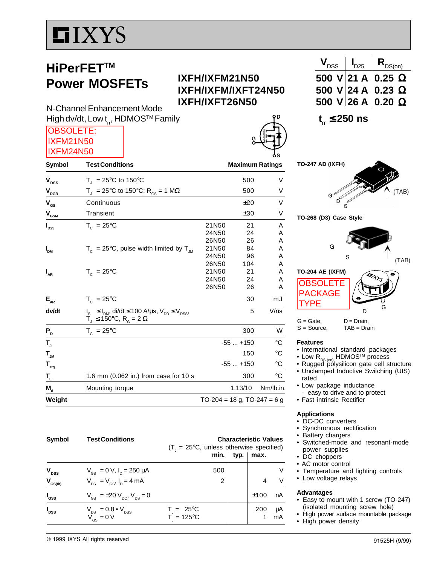# $LI{X}YS$

## **HiPerFETTM Power MOSFETs**

## **IXFH/IXFM21N50 500 V 21 A 0.25** Ω **IXFH/IXFM/IXFT24N50 500 V 24 A 0.23** Ω **IXFH/IXFT26N50 500 V 26 A 0.20** Ω

 $V_{DSS}$   $I_{D25}$  $R_{DS(on)}$ 

(TAB)

**t**<sub>rr</sub> ≤ 250 ns

**TO-247 AD (IXFH)**

**TO-268 (D3) Case Style**

G D

N-Channel Enhancement Mode High dv/dt, Low t<sub>ra</sub>, HDMOS™ Family

OBSOLETE: ILYEM21N50

| <b>IAL IVIZ LINUU</b><br>IXFM24N50 |                                                                                                                                                                     |                                 | ο               |              |  |
|------------------------------------|---------------------------------------------------------------------------------------------------------------------------------------------------------------------|---------------------------------|-----------------|--------------|--|
| Symbol                             | <b>Test Conditions</b>                                                                                                                                              | <b>Maximum Ratings</b>          |                 |              |  |
| $\mathbf{V}_{\text{DSS}}$          | $T_{1}$ = 25°C to 150°C                                                                                                                                             |                                 | 500             | V            |  |
| $\mathbf{V}_{\text{DGR}}$          | $T_{\text{I}}$ = 25°C to 150°C; R <sub>GS</sub> = 1 MΩ                                                                                                              |                                 | 500             | V            |  |
| $V_{gs}$                           | Continuous                                                                                                                                                          |                                 | ±20             | V            |  |
| $\mathbf{V}_{_{\rm GSM}}$          | Transient                                                                                                                                                           |                                 | ±30             | V            |  |
| $\boldsymbol{I}_{D25}$             | $T_c = 25^{\circ}C$                                                                                                                                                 | 21N50<br>24N50<br>26N50         | 21<br>24<br>26  | A<br>A<br>Α  |  |
| $I_{DM}$                           | $T_c = 25^{\circ}$ C, pulse width limited by T <sub>IM</sub>                                                                                                        | 21N50<br>24N50<br>26N50         | 84<br>96<br>104 | Α<br>A<br>Α  |  |
| $I_{AR}$                           | $T_c = 25^{\circ}C$                                                                                                                                                 | 21N50<br>24N50<br>26N50         | 21<br>24<br>26  | Α<br>A<br>A  |  |
| $E_{AR}$                           | $T_c = 25^{\circ}C$                                                                                                                                                 |                                 | 30              | mJ           |  |
| dv/dt                              | $\leq$ I <sub>DM</sub> , di/dt $\leq$ 100 A/µs, V <sub>DD</sub> $\leq$ V <sub>DSS</sub> ,<br>$I_{\rm s}$<br>$T_{\text{I}} \leq 150^{\circ}$ C, R <sub>G</sub> = 2 Ω |                                 | 5               | V/ns         |  |
| P <sub>D</sub>                     | $T_c = 25^{\circ}C$                                                                                                                                                 |                                 | 300             | W            |  |
| т,                                 |                                                                                                                                                                     |                                 | $-55+150$       | $^{\circ}$ C |  |
| $\mathbf{T}_{_{\mathsf{JM}}}$      |                                                                                                                                                                     |                                 | 150             | $^{\circ}$ C |  |
| $T_{\underline{\text{stg}}}$       |                                                                                                                                                                     |                                 | $-55+150$       | $^{\circ}C$  |  |
| $\mathsf{T}_{\mathsf{L}}$          | 1.6 mm (0.062 in.) from case for 10 s                                                                                                                               |                                 | 300             | $^{\circ}$ C |  |
| $M_{\rm d}$                        | Mounting torque                                                                                                                                                     |                                 | 1.13/10         | Nm/lb.in.    |  |
| Weight                             |                                                                                                                                                                     | $TO-204 = 18$ g, $TO-247 = 6$ g |                 |              |  |

| G                                                                           | S | (TAB) |
|-----------------------------------------------------------------------------|---|-------|
| <b>TO-204 AE (IXFM)</b><br><b>OBSOLETE</b><br><b>PACKAGE</b><br><b>TYPE</b> |   | G     |

 $G =$  Gate,  $D =$  Drain,

S = Source, TAB = Drain

### **Features**

• International standard packages

- 
- Low R<sub>DS (on)</sub> HDMOS™ process<br>• Rugged polysilicon gate cell structure
- Unclamped Inductive Switching (UIS) rated
- Low package inductance
- easy to drive and to protect
- Fast intrinsic Rectifier

### **Applications**

- DC-DC converters
- Synchronous rectification
- Battery chargers
- Switched-mode and resonant-mode power supplies
- DC choppers
- AC motor control
- Temperature and lighting controls
- Low voltage relays

### **Advantages**

- Easy to mount with 1 screw (TO-247) (isolated mounting screw hole)
	- High power surface mountable package • High power density

| Symbol              | <b>Test Conditions</b>                                                                                                                          | <b>Characteristic Values</b><br>$(T_{\perp} = 25^{\circ}C$ , unless otherwise specified)<br>min.<br>typ.<br>max. |  |      |          |  |
|---------------------|-------------------------------------------------------------------------------------------------------------------------------------------------|------------------------------------------------------------------------------------------------------------------|--|------|----------|--|
| $V_{\text{DSS}}$    | $V_{\rm cs} = 0 \text{ V}, I_{\rm p} = 250 \mu \text{A}$                                                                                        | 500                                                                                                              |  |      | V        |  |
| $V_{\text{GS(th)}}$ | $V_{DS} = V_{GS}$ , $I_D = 4$ mA                                                                                                                | $\overline{2}$                                                                                                   |  | 4    | V        |  |
| $I_{\rm dss}$       | $V_{\text{cs}} = \pm 20 V_{\text{pc}}$ , $V_{\text{ps}} = 0$                                                                                    |                                                                                                                  |  | ±100 | nA       |  |
| $I_{\text{DSS}}$    | $\begin{array}{l} \mathsf{V}_{_{\mathrm{DS}}}=0.8\bullet \mathsf{V}_{_{\mathrm{DSS}}} \\ \mathsf{V}_{_{\mathrm{GS}}}=0\,\mathsf{V} \end{array}$ | $T_{j} = 25^{\circ}C$<br>$T_{i} = 125^{\circ}C$                                                                  |  | 200  | μA<br>mA |  |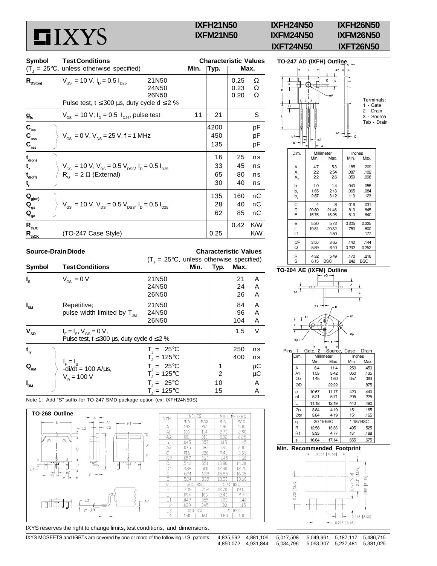

## **IXFH21N50 IXFH24N50 IXFH26N50 IXFM21N50 IXFM24N50 IXFM26N50**

MILLIMETERS<br>MIN MAX<br>4.90 5.10

 $2.90$ 

 $1.4$ 

 $0.65$ 

 $1.60$ 

14.00

12.70

16.05

13.60

 $\frac{19.10}{2.70}$ 

 $1.40$ 

 $1.15$ 

 $4.10$ 

 $0.2$ 

 $2.70$ 

 $0.02$ 

 $\frac{1.15}{1.90}$ 

 $0.40$ 

 $1.45$ 

13.80

 $\frac{12.40}{15.85}$ 

 $13.30$ 

 $\begin{array}{r} 6.45 \\ \hline 18.70 \\ 2.40 \\ \hline 1.20 \\ \hline \end{array}$ 

 $1.00$ 

 $\frac{0.25}{3.80}$ 

INCHES

 $\frac{.01}{.201}$ 

 $.010$ 

 $.057$ 

 $\frac{1007}{083}$  $.026$ 

 $\frac{0.0000000}{0.551}$ 

.63

 $\frac{.106}{.055}$ 

 $.045$ 

 $-161$ 

MIN  $\overline{M}$ 

.193

 $.106$ 

 $.001$ 

 $.045$ 

 $\frac{10}{075}$ 

 $.016$ 

 $\frac{.057}{.543}$ 

 $rac{0.488}{0.624}$ 

524

736

.094  $.047$ 

.039

 $\begin{array}{c|c} .010 & BSC \\ \hline .150 & .150 \end{array}$ 

 $\frac{.215}{.215}$ **BSC** 

SYM

 $\overline{A}$ 

 $AI$ 

 $A2$ 

 $rac{b}{b2}$ 

 $\overline{c}$ 

 $\overline{D}$ 

 $C<sub>2</sub>$ 

 $D<sub>1</sub>$ 

 $E1$ 

 $\overline{e}$ 

 $\overline{H}$ 

 $\Gamma$ 

 $L4$ 

# **IXFT24N50 IXFT26N50**

 **TO-247 AD (IXFH) Outline**

⊕

 $\circ$  $\overline{\mathbf{s}}$ 

| <b>Symbol</b>                                                                                                              | <b>Test Conditions</b><br>$(T_1 = 25^{\circ}C$ , unless otherwise specified)<br>Min.                                         |                                             |    | <b>Characteristic Values</b><br>Max.<br>Typ. |                      |                   |
|----------------------------------------------------------------------------------------------------------------------------|------------------------------------------------------------------------------------------------------------------------------|---------------------------------------------|----|----------------------------------------------|----------------------|-------------------|
| $R_{DS(on)}$                                                                                                               | $V_{\text{cs}} = 10 \text{ V}, I_{\text{p}} = 0.5 I_{\text{p25}}$<br>Pulse test, $t \le 300 \mu s$ , duty cycle d $\le 2 \%$ | 21N50<br>24N50<br>26N50                     |    |                                              | 0.25<br>0.23<br>0.20 | Ω<br>Ω<br>Ω       |
| $g_{\rm fs}$                                                                                                               | $V_{DS}$ = 10 V; $I_D$ = 0.5 $I_{D25}$ , pulse test                                                                          |                                             | 11 | 21                                           |                      | S                 |
|                                                                                                                            |                                                                                                                              |                                             |    |                                              |                      |                   |
| $\mathbf{C}_{\text{iss}}$                                                                                                  | $V_{\text{GS}} = 0 V, V_{\text{DS}} = 25 V, f = 1 MHz$                                                                       |                                             |    | 4200<br>450                                  |                      | pF<br>pF          |
| $\mathbf{C}_{_{\mathrm{oss}}}$<br>$\mathbf{C}_{\mathrm{rss}}$                                                              |                                                                                                                              |                                             |    | 135                                          |                      | pF                |
| $\mathbf{t}_{\text{\tiny{d(0n)}}}$                                                                                         |                                                                                                                              |                                             |    | 16                                           | 25                   | ns                |
| t,                                                                                                                         | $V_{\text{GS}}$ = 10 V, $V_{DS}$ = 0.5 $V_{DSS}$ , $I_{D}$ = 0.5 $I_{D25}$                                                   |                                             |    | 33                                           | 45                   | ns                |
| $\mathbf{t}_{\text{d(off)}}$                                                                                               | $R_G = 2 \Omega$ (External)                                                                                                  |                                             |    | 65                                           | 80                   | ns                |
| t,                                                                                                                         |                                                                                                                              |                                             |    | 30                                           | 40                   | ns                |
| $\mathbf{Q}_{\text{g(on)}}$                                                                                                |                                                                                                                              |                                             |    | 135                                          | 160                  | nС                |
| $\mathbf{Q}_{\mathrm{gs}}$                                                                                                 | $V_{\text{GS}}$ = 10 V, $V_{\text{DS}}$ = 0.5 $V_{\text{DSS}}$ , $I_{\text{D}}$ = 0.5 $I_{\text{D25}}$                       |                                             |    | 28                                           | 40                   | nС                |
| $\mathbf{Q}_{\text{gd}}$                                                                                                   |                                                                                                                              |                                             |    | 62                                           | 85                   | nС                |
| $\mathsf{R}_{\text{thJC}}$<br>$R_{\text{thCK}}$                                                                            | (TO-247 Case Style)                                                                                                          |                                             |    | 0.25                                         | 0.42                 | <b>K/W</b><br>K/W |
| <b>Source-Drain Diode</b><br>$(T_1 = 25^{\circ}C,$ unless otherwise specified)<br>Symbol<br><b>Test Conditions</b><br>Min. |                                                                                                                              |                                             |    | <b>Characteristic Values</b><br>Typ.         | ∣ Max.               |                   |
| $\mathsf{I}_\mathsf{s}$                                                                                                    | $V_{\rm{GS}} = 0 V$                                                                                                          | 21N50                                       |    |                                              | 21                   | Α                 |
|                                                                                                                            |                                                                                                                              | 24N50                                       |    |                                              | 24                   | Α                 |
|                                                                                                                            |                                                                                                                              | 26N50                                       |    |                                              | 26                   | Α                 |
| $I_{\rm SM}$                                                                                                               | Repetitive;                                                                                                                  | 21N50                                       |    |                                              | 84                   | A                 |
|                                                                                                                            | pulse width limited by $T_{\mu}$                                                                                             | 24N50                                       |    |                                              | 96                   | Α                 |
|                                                                                                                            |                                                                                                                              | 26N50                                       |    |                                              | 104                  | Α                 |
| $\mathbf{V}_{\mathrm{SD}}$                                                                                                 | $I_{F} = I_{S}$ , $V_{GS} = 0 V$ ,<br>Pulse test, $t \le 300$ $\mu$ s, duty cycle d $\le 2$ %                                |                                             |    |                                              | 1.5                  | V                 |
| $t_{rr}$                                                                                                                   |                                                                                                                              | $T_i = 25^{\circ}C$                         |    |                                              | 250                  | ns                |
|                                                                                                                            | $I_{\rm F} = I_{\rm S}$                                                                                                      | $T_1 = 125^{\circ}C$                        |    |                                              | 400                  | ns                |
| $\mathbf{Q}_{_{\mathsf{R}\mathsf{M}}}$                                                                                     | $-di/dt = 100$ A/ $\mu$ s,                                                                                                   | $T_i = 25^{\circ}C$<br>$T_1 = 125^{\circ}C$ |    | 1<br>$\overline{c}$                          |                      | μC<br>μC          |
| $I_{\rm RM}$                                                                                                               | $V_{R} = 100 V$                                                                                                              | $T_i = 25^{\circ}C$                         |    | 10                                           |                      | Α                 |
|                                                                                                                            |                                                                                                                              | $T_{1} = 125^{\circ}C$                      |    | 15                                           |                      | Α                 |

Note 1: Add "S" suffix for TO-247 SMD package option (ex: IXFH24N50S)





Terminals: 1 2 3 1 - Gate 2 - Drain 3 - Source Tab - Drain  $A1 -$ ╬  $b1 -$ Ε  $b2$  $b -$ Dim. Millimeter Inches<br>Min. Max. Min. Max Min. A | 4.7 5.3 | 185 .209 A<sub>1</sub> 2.2 2.54 087 .102  $A_2$  | 2.2 2.6 | 059 .098 b 1.0 1.4 .040 .055 b<sub>1</sub> | 1.65 2.13 | 065 .084  $b<sub>2</sub>$  2.87 3.12 .113 .123 C 20.80 21.46 .016 .031<br>D 20.80 21.46 .819 .845<br>E 15.75 16.26 .610 .640 C | .4 .8 .016 .031 15.75 e 5.20 5.72 0.205 0.225 L 19.81 20.32 780 .800<br>L1 4.50 177 L1 | 4.50 | 177 ∅P 3.55 3.65 .140 .144 Q 5.89 6.40 0.232 0.252 R 4.32 5.49 .170 .216<br>S 6.15 BSC 242 BSC S | 6.15 BSC | 242 BSC **TO-204 AE (IXFM) Outline**  $_{A1}$   $\overline{J}$ 4N Pins: 1 - Gate, 2 - Source, Case - Drain Dim. Millimeter Inches<br>Min. Max. Min. Max. A 6.4 11.4 .250 .450<br>A1 1.53 3.42 .060 .135 A1 1.53 3.42 .060 .135 1.45 ∅D 22.22 .875 e 10.67 11.17 .420 .440 e1 5.21 5.71 .205 .225 L  $11.18$   $12.19$   $440$   $480$ *Q*p
3.84 4.19
.151 .165
*Qp*1
3.84 4.19
.151 .165 ∅p 3.84 4.19 .151 .165 q 30.15 BSC 1.187 BSC<br>R 1258 13.33 495 52<br>R1 3.33 4.77 .131 .18 12.58 13.33 .495 .525 R1 3.33 4.77 .131 .188 s 16.64 17.14 .655 .675 **Min. Recommended Footprint**<br>  $\leftarrow$  0.653 [16.59]



IXYS MOSFETS and IGBTs are covered by one or more of the following U.S. patents: 4,835,592 4,881,106 5,017,508 5,049,961 5,187,117 5,486,715 4,850,072 4,931,844 5,034,796 5,063,307 5,237,481 5,381,025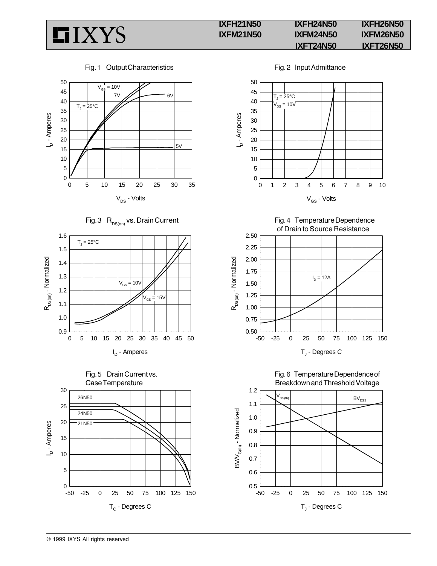### Fig. 1 Output Characteristics **Fig. 2 Input Admittance**

**LIXYS** 











Fig. 3  $R_{DS(on)}$  vs. Drain Current Fig. 4 Temperature Dependence of Drain to Source Resistance